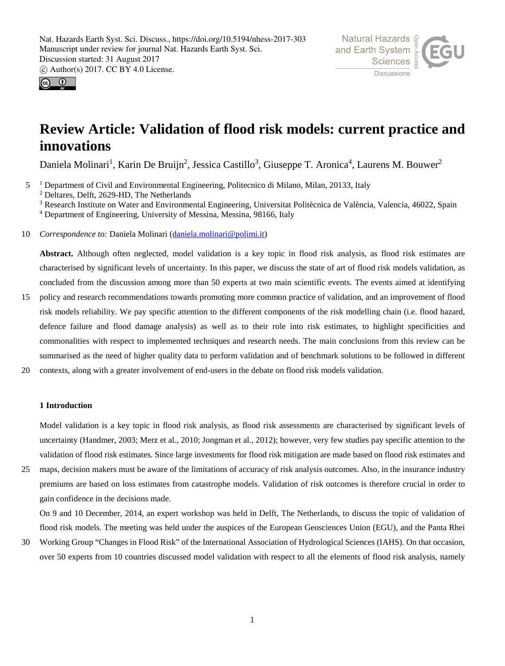



# **Review Article: Validation of flood risk models: current practice and innovations**

Daniela Molinari<sup>1</sup>, Karin De Bruijn<sup>2</sup>, Jessica Castillo<sup>3</sup>, Giuseppe T. Aronica<sup>4</sup>, Laurens M. Bouwer<sup>2</sup>

 <sup>1</sup> Department of Civil and Environmental Engineering, Politecnico di Milano, Milan, 20133, Italy Deltares, Delft, 2629-HD, The Netherlands Research Institute on Water and Environmental Engineering, Universitat Politècnica de València, Valencia, 46022, Spain Department of Engineering, University of Messina, Messina, 98166, Italy

10 *Correspondence to:* Daniela Molinari (daniela.molinari@polimi.it)

**Abstract.** Although often neglected, model validation is a key topic in flood risk analysis, as flood risk estimates are characterised by significant levels of uncertainty. In this paper, we discuss the state of art of flood risk models validation, as concluded from the discussion among more than 50 experts at two main scientific events. The events aimed at identifying

- 15 policy and research recommendations towards promoting more common practice of validation, and an improvement of flood risk models reliability. We pay specific attention to the different components of the risk modelling chain (i.e. flood hazard, defence failure and flood damage analysis) as well as to their role into risk estimates, to highlight specificities and commonalities with respect to implemented techniques and research needs. The main conclusions from this review can be summarised as the need of higher quality data to perform validation and of benchmark solutions to be followed in different
- 20 contexts, along with a greater involvement of end-users in the debate on flood risk models validation.

## **1 Introduction**

Model validation is a key topic in flood risk analysis, as flood risk assessments are characterised by significant levels of uncertainty (Handmer, 2003; Merz et al., 2010; Jongman et al., 2012); however, very few studies pay specific attention to the validation of flood risk estimates. Since large investments for flood risk mitigation are made based on flood risk estimates and

25 maps, decision makers must be aware of the limitations of accuracy of risk analysis outcomes. Also, in the insurance industry premiums are based on loss estimates from catastrophe models. Validation of risk outcomes is therefore crucial in order to gain confidence in the decisions made.

On 9 and 10 December, 2014, an expert workshop was held in Delft, The Netherlands, to discuss the topic of validation of flood risk models. The meeting was held under the auspices of the European Geosciences Union (EGU), and the Panta Rhei

30 Working Group "Changes in Flood Risk" of the International Association of Hydrological Sciences (IAHS). On that occasion, over 50 experts from 10 countries discussed model validation with respect to all the elements of flood risk analysis, namely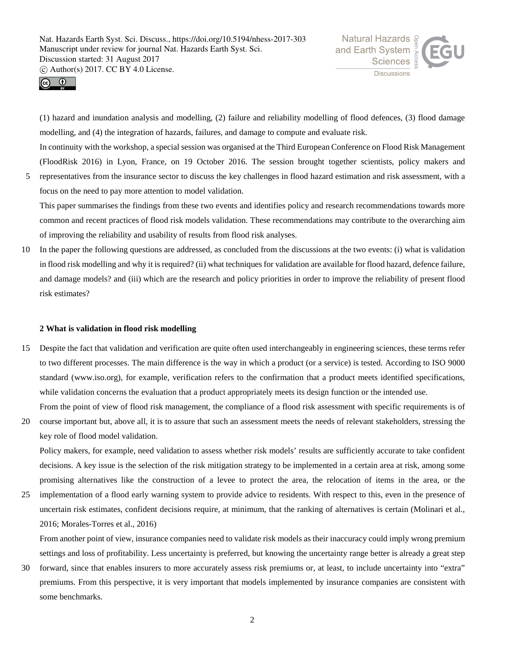



(1) hazard and inundation analysis and modelling, (2) failure and reliability modelling of flood defences, (3) flood damage modelling, and (4) the integration of hazards, failures, and damage to compute and evaluate risk.

In continuity with the workshop, a special session was organised at the Third European Conference on Flood Risk Management (FloodRisk 2016) in Lyon, France, on 19 October 2016. The session brought together scientists, policy makers and 5 representatives from the insurance sector to discuss the key challenges in flood hazard estimation and risk assessment, with a focus on the need to pay more attention to model validation.

This paper summarises the findings from these two events and identifies policy and research recommendations towards more common and recent practices of flood risk models validation. These recommendations may contribute to the overarching aim of improving the reliability and usability of results from flood risk analyses.

10 In the paper the following questions are addressed, as concluded from the discussions at the two events: (i) what is validation in flood risk modelling and why it is required? (ii) what techniques for validation are available for flood hazard, defence failure, and damage models? and (iii) which are the research and policy priorities in order to improve the reliability of present flood risk estimates?

## **2 What is validation in flood risk modelling**

15 Despite the fact that validation and verification are quite often used interchangeably in engineering sciences, these terms refer to two different processes. The main difference is the way in which a product (or a service) is tested. According to ISO 9000 standard (www.iso.org), for example, verification refers to the confirmation that a product meets identified specifications, while validation concerns the evaluation that a product appropriately meets its design function or the intended use.

From the point of view of flood risk management, the compliance of a flood risk assessment with specific requirements is of 20 course important but, above all, it is to assure that such an assessment meets the needs of relevant stakeholders, stressing the key role of flood model validation.

Policy makers, for example, need validation to assess whether risk models' results are sufficiently accurate to take confident decisions. A key issue is the selection of the risk mitigation strategy to be implemented in a certain area at risk, among some promising alternatives like the construction of a levee to protect the area, the relocation of items in the area, or the

25 implementation of a flood early warning system to provide advice to residents. With respect to this, even in the presence of uncertain risk estimates, confident decisions require, at minimum, that the ranking of alternatives is certain (Molinari et al., 2016; Morales-Torres et al., 2016)

From another point of view, insurance companies need to validate risk models as their inaccuracy could imply wrong premium settings and loss of profitability. Less uncertainty is preferred, but knowing the uncertainty range better is already a great step

30 forward, since that enables insurers to more accurately assess risk premiums or, at least, to include uncertainty into "extra" premiums. From this perspective, it is very important that models implemented by insurance companies are consistent with some benchmarks.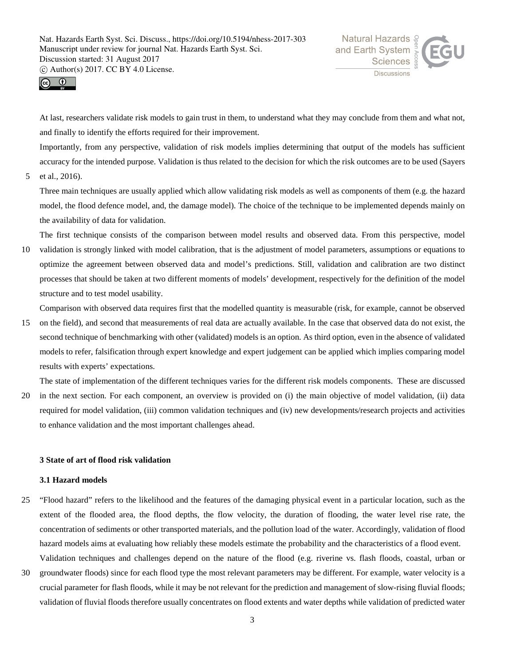



At last, researchers validate risk models to gain trust in them, to understand what they may conclude from them and what not, and finally to identify the efforts required for their improvement.

Importantly, from any perspective, validation of risk models implies determining that output of the models has sufficient accuracy for the intended purpose. Validation is thus related to the decision for which the risk outcomes are to be used (Sayers 5 et al., 2016).

Three main techniques are usually applied which allow validating risk models as well as components of them (e.g. the hazard model, the flood defence model, and, the damage model). The choice of the technique to be implemented depends mainly on

the availability of data for validation.

The first technique consists of the comparison between model results and observed data. From this perspective, model

10 validation is strongly linked with model calibration, that is the adjustment of model parameters, assumptions or equations to optimize the agreement between observed data and model's predictions. Still, validation and calibration are two distinct processes that should be taken at two different moments of models' development, respectively for the definition of the model structure and to test model usability.

Comparison with observed data requires first that the modelled quantity is measurable (risk, for example, cannot be observed

15 on the field), and second that measurements of real data are actually available. In the case that observed data do not exist, the second technique of benchmarking with other (validated) models is an option. As third option, even in the absence of validated models to refer, falsification through expert knowledge and expert judgement can be applied which implies comparing model results with experts' expectations.

The state of implementation of the different techniques varies for the different risk models components. These are discussed

20 in the next section. For each component, an overview is provided on (i) the main objective of model validation, (ii) data required for model validation, (iii) common validation techniques and (iv) new developments/research projects and activities to enhance validation and the most important challenges ahead.

## **3 State of art of flood risk validation**

# **3.1 Hazard models**

- 25 "Flood hazard" refers to the likelihood and the features of the damaging physical event in a particular location, such as the extent of the flooded area, the flood depths, the flow velocity, the duration of flooding, the water level rise rate, the concentration of sediments or other transported materials, and the pollution load of the water. Accordingly, validation of flood hazard models aims at evaluating how reliably these models estimate the probability and the characteristics of a flood event.
- Validation techniques and challenges depend on the nature of the flood (e.g. riverine vs. flash floods, coastal, urban or 30 groundwater floods) since for each flood type the most relevant parameters may be different. For example, water velocity is a crucial parameter for flash floods, while it may be not relevant for the prediction and management of slow-rising fluvial floods; validation of fluvial floods therefore usually concentrates on flood extents and water depths while validation of predicted water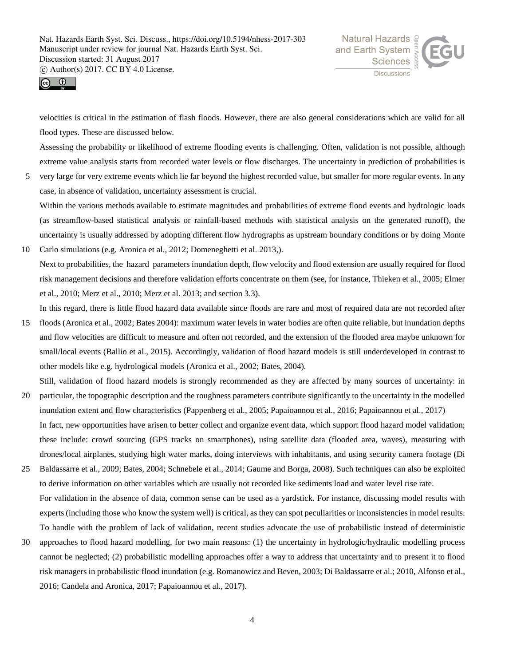



velocities is critical in the estimation of flash floods. However, there are also general considerations which are valid for all flood types. These are discussed below.

Assessing the probability or likelihood of extreme flooding events is challenging. Often, validation is not possible, although extreme value analysis starts from recorded water levels or flow discharges. The uncertainty in prediction of probabilities is

5 very large for very extreme events which lie far beyond the highest recorded value, but smaller for more regular events. In any case, in absence of validation, uncertainty assessment is crucial.

Within the various methods available to estimate magnitudes and probabilities of extreme flood events and hydrologic loads (as streamflow-based statistical analysis or rainfall-based methods with statistical analysis on the generated runoff), the uncertainty is usually addressed by adopting different flow hydrographs as upstream boundary conditions or by doing Monte

10 Carlo simulations (e.g. Aronica et al., 2012; Domeneghetti et al. 2013,). Next to probabilities, the hazard parameters inundation depth, flow velocity and flood extension are usually required for flood risk management decisions and therefore validation efforts concentrate on them (see, for instance, Thieken et al., 2005; Elmer et al., 2010; Merz et al., 2010; Merz et al. 2013; and section 3.3).

In this regard, there is little flood hazard data available since floods are rare and most of required data are not recorded after

15 floods (Aronica et al., 2002; Bates 2004): maximum water levels in water bodies are often quite reliable, but inundation depths and flow velocities are difficult to measure and often not recorded, and the extension of the flooded area maybe unknown for small/local events (Ballio et al., 2015). Accordingly, validation of flood hazard models is still underdeveloped in contrast to other models like e.g. hydrological models (Aronica et al., 2002; Bates, 2004).

Still, validation of flood hazard models is strongly recommended as they are affected by many sources of uncertainty: in 20 particular, the topographic description and the roughness parameters contribute significantly to the uncertainty in the modelled inundation extent and flow characteristics (Pappenberg et al., 2005; Papaioannou et al., 2016; Papaioannou et al., 2017)

In fact, new opportunities have arisen to better collect and organize event data, which support flood hazard model validation; these include: crowd sourcing (GPS tracks on smartphones), using satellite data (flooded area, waves), measuring with drones/local airplanes, studying high water marks, doing interviews with inhabitants, and using security camera footage (Di

- 25 Baldassarre et al., 2009; Bates, 2004; Schnebele et al., 2014; Gaume and Borga, 2008). Such techniques can also be exploited to derive information on other variables which are usually not recorded like sediments load and water level rise rate. For validation in the absence of data, common sense can be used as a yardstick. For instance, discussing model results with experts (including those who know the system well) is critical, as they can spot peculiarities or inconsistencies in model results. To handle with the problem of lack of validation, recent studies advocate the use of probabilistic instead of deterministic
- 30 approaches to flood hazard modelling, for two main reasons: (1) the uncertainty in hydrologic/hydraulic modelling process cannot be neglected; (2) probabilistic modelling approaches offer a way to address that uncertainty and to present it to flood risk managers in probabilistic flood inundation (e.g. Romanowicz and Beven, 2003; Di Baldassarre et al.; 2010, Alfonso et al., 2016; Candela and Aronica, 2017; Papaioannou et al., 2017).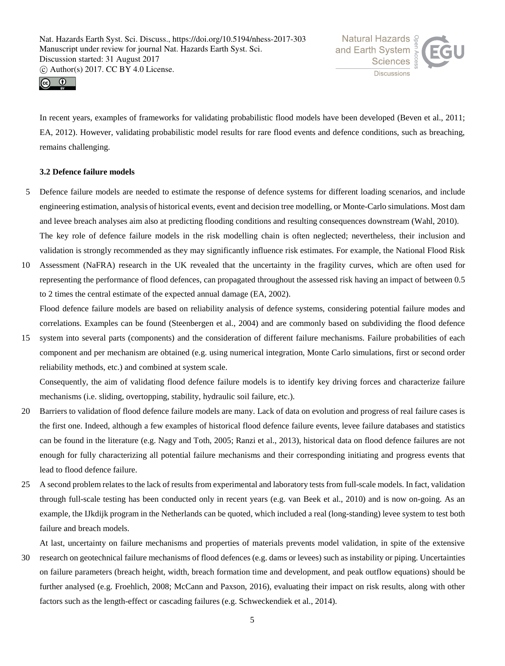



In recent years, examples of frameworks for validating probabilistic flood models have been developed (Beven et al., 2011; EA, 2012). However, validating probabilistic model results for rare flood events and defence conditions, such as breaching, remains challenging.

# **3.2 Defence failure models**

- 5 Defence failure models are needed to estimate the response of defence systems for different loading scenarios, and include engineering estimation, analysis of historical events, event and decision tree modelling, or Monte-Carlo simulations. Most dam and levee breach analyses aim also at predicting flooding conditions and resulting consequences downstream (Wahl, 2010). The key role of defence failure models in the risk modelling chain is often neglected; nevertheless, their inclusion and validation is strongly recommended as they may significantly influence risk estimates. For example, the National Flood Risk
- 10 Assessment (NaFRA) research in the UK revealed that the uncertainty in the fragility curves, which are often used for representing the performance of flood defences, can propagated throughout the assessed risk having an impact of between 0.5 to 2 times the central estimate of the expected annual damage (EA, 2002).

Flood defence failure models are based on reliability analysis of defence systems, considering potential failure modes and correlations. Examples can be found (Steenbergen et al., 2004) and are commonly based on subdividing the flood defence

15 system into several parts (components) and the consideration of different failure mechanisms. Failure probabilities of each component and per mechanism are obtained (e.g. using numerical integration, Monte Carlo simulations, first or second order reliability methods, etc.) and combined at system scale.

Consequently, the aim of validating flood defence failure models is to identify key driving forces and characterize failure mechanisms (i.e. sliding, overtopping, stability, hydraulic soil failure, etc.).

- 20 Barriers to validation of flood defence failure models are many. Lack of data on evolution and progress of real failure cases is the first one. Indeed, although a few examples of historical flood defence failure events, levee failure databases and statistics can be found in the literature (e.g. Nagy and Toth, 2005; Ranzi et al., 2013), historical data on flood defence failures are not enough for fully characterizing all potential failure mechanisms and their corresponding initiating and progress events that lead to flood defence failure.
- 25 A second problem relates to the lack of results from experimental and laboratory tests from full-scale models. In fact, validation through full-scale testing has been conducted only in recent years (e.g. van Beek et al., 2010) and is now on-going. As an example, the IJkdijk program in the Netherlands can be quoted, which included a real (long-standing) levee system to test both failure and breach models.

At last, uncertainty on failure mechanisms and properties of materials prevents model validation, in spite of the extensive

30 research on geotechnical failure mechanisms of flood defences (e.g. dams or levees) such as instability or piping. Uncertainties on failure parameters (breach height, width, breach formation time and development, and peak outflow equations) should be further analysed (e.g. Froehlich, 2008; McCann and Paxson, 2016), evaluating their impact on risk results, along with other factors such as the length-effect or cascading failures (e.g. Schweckendiek et al., 2014).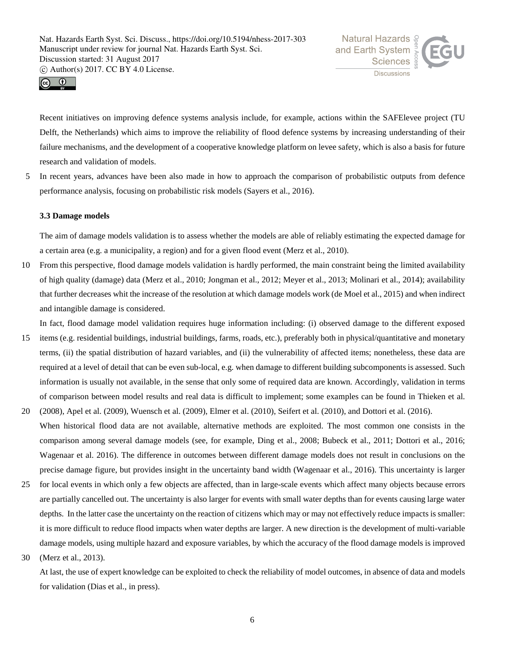



Recent initiatives on improving defence systems analysis include, for example, actions within the SAFElevee project (TU Delft, the Netherlands) which aims to improve the reliability of flood defence systems by increasing understanding of their failure mechanisms, and the development of a cooperative knowledge platform on levee safety, which is also a basis for future research and validation of models.

5 In recent years, advances have been also made in how to approach the comparison of probabilistic outputs from defence performance analysis, focusing on probabilistic risk models (Sayers et al., 2016).

# **3.3 Damage models**

The aim of damage models validation is to assess whether the models are able of reliably estimating the expected damage for a certain area (e.g. a municipality, a region) and for a given flood event (Merz et al., 2010).

10 From this perspective, flood damage models validation is hardly performed, the main constraint being the limited availability of high quality (damage) data (Merz et al., 2010; Jongman et al., 2012; Meyer et al., 2013; Molinari et al., 2014); availability that further decreases whit the increase of the resolution at which damage models work (de Moel et al., 2015) and when indirect and intangible damage is considered.

In fact, flood damage model validation requires huge information including: (i) observed damage to the different exposed

- 15 items (e.g. residential buildings, industrial buildings, farms, roads, etc.), preferably both in physical/quantitative and monetary terms, (ii) the spatial distribution of hazard variables, and (ii) the vulnerability of affected items; nonetheless, these data are required at a level of detail that can be even sub-local, e.g. when damage to different building subcomponents is assessed. Such information is usually not available, in the sense that only some of required data are known. Accordingly, validation in terms of comparison between model results and real data is difficult to implement; some examples can be found in Thieken et al.
- 20 (2008), Apel et al. (2009), Wuensch et al. (2009), Elmer et al. (2010), Seifert et al. (2010), and Dottori et al. (2016). When historical flood data are not available, alternative methods are exploited. The most common one consists in the comparison among several damage models (see, for example, Ding et al., 2008; Bubeck et al., 2011; Dottori et al., 2016; Wagenaar et al. 2016). The difference in outcomes between different damage models does not result in conclusions on the precise damage figure, but provides insight in the uncertainty band width (Wagenaar et al., 2016). This uncertainty is larger
- 25 for local events in which only a few objects are affected, than in large-scale events which affect many objects because errors are partially cancelled out. The uncertainty is also larger for events with small water depths than for events causing large water depths. In the latter case the uncertainty on the reaction of citizens which may or may not effectively reduce impacts is smaller: it is more difficult to reduce flood impacts when water depths are larger. A new direction is the development of multi-variable damage models, using multiple hazard and exposure variables, by which the accuracy of the flood damage models is improved
- 30 (Merz et al., 2013).

At last, the use of expert knowledge can be exploited to check the reliability of model outcomes, in absence of data and models for validation (Dias et al., in press).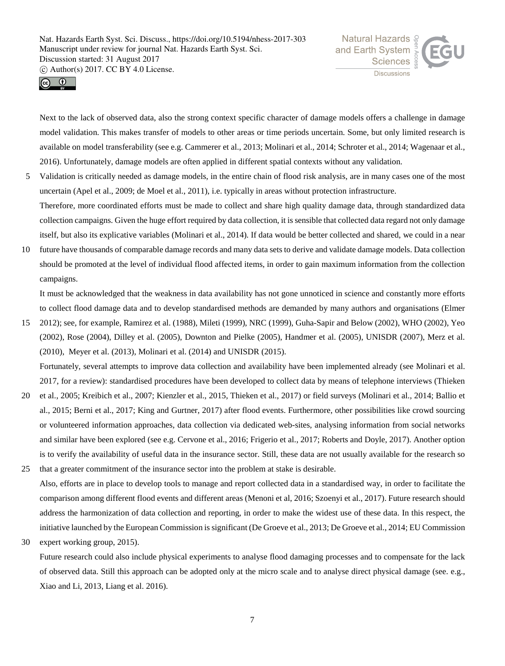



Next to the lack of observed data, also the strong context specific character of damage models offers a challenge in damage model validation. This makes transfer of models to other areas or time periods uncertain. Some, but only limited research is available on model transferability (see e.g. Cammerer et al., 2013; Molinari et al., 2014; Schroter et al., 2014; Wagenaar et al., 2016). Unfortunately, damage models are often applied in different spatial contexts without any validation.

5 Validation is critically needed as damage models, in the entire chain of flood risk analysis, are in many cases one of the most uncertain (Apel et al., 2009; de Moel et al., 2011), i.e. typically in areas without protection infrastructure. Therefore, more coordinated efforts must be made to collect and share high quality damage data, through standardized data

collection campaigns. Given the huge effort required by data collection, it is sensible that collected data regard not only damage itself, but also its explicative variables (Molinari et al., 2014). If data would be better collected and shared, we could in a near

10 future have thousands of comparable damage records and many data sets to derive and validate damage models. Data collection should be promoted at the level of individual flood affected items, in order to gain maximum information from the collection campaigns.

It must be acknowledged that the weakness in data availability has not gone unnoticed in science and constantly more efforts to collect flood damage data and to develop standardised methods are demanded by many authors and organisations (Elmer

15 2012); see, for example, Ramirez et al. (1988), Mileti (1999), NRC (1999), Guha-Sapir and Below (2002), WHO (2002), Yeo (2002), Rose (2004), Dilley et al. (2005), Downton and Pielke (2005), Handmer et al. (2005), UNISDR (2007), Merz et al. (2010), Meyer et al. (2013), Molinari et al. (2014) and UNISDR (2015).

Fortunately, several attempts to improve data collection and availability have been implemented already (see Molinari et al. 2017, for a review): standardised procedures have been developed to collect data by means of telephone interviews (Thieken

- 20 et al., 2005; Kreibich et al., 2007; Kienzler et al., 2015, Thieken et al., 2017) or field surveys (Molinari et al., 2014; Ballio et al., 2015; Berni et al., 2017; King and Gurtner, 2017) after flood events. Furthermore, other possibilities like crowd sourcing or volunteered information approaches, data collection via dedicated web-sites, analysing information from social networks and similar have been explored (see e.g. Cervone et al., 2016; Frigerio et al., 2017; Roberts and Doyle, 2017). Another option is to verify the availability of useful data in the insurance sector. Still, these data are not usually available for the research so
- 25 that a greater commitment of the insurance sector into the problem at stake is desirable. Also, efforts are in place to develop tools to manage and report collected data in a standardised way, in order to facilitate the comparison among different flood events and different areas (Menoni et al, 2016; Szoenyi et al., 2017). Future research should address the harmonization of data collection and reporting, in order to make the widest use of these data. In this respect, the initiative launched by the European Commission is significant (De Groeve et al., 2013; De Groeve et al., 2014; EU Commission
- 30 expert working group, 2015).

Future research could also include physical experiments to analyse flood damaging processes and to compensate for the lack of observed data. Still this approach can be adopted only at the micro scale and to analyse direct physical damage (see. e.g., Xiao and Li, 2013, Liang et al. 2016).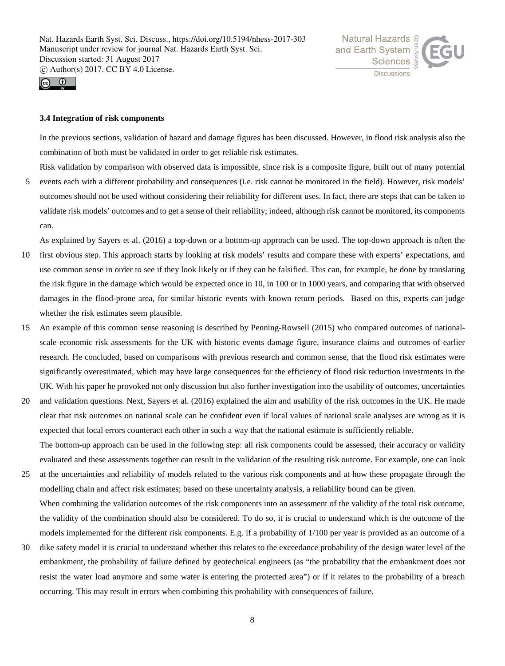



## **3.4 Integration of risk components**

In the previous sections, validation of hazard and damage figures has been discussed. However, in flood risk analysis also the combination of both must be validated in order to get reliable risk estimates.

Risk validation by comparison with observed data is impossible, since risk is a composite figure, built out of many potential 5 events each with a different probability and consequences (i.e. risk cannot be monitored in the field). However, risk models' outcomes should not be used without considering their reliability for different uses. In fact, there are steps that can be taken to validate risk models' outcomes and to get a sense of their reliability; indeed, although risk cannot be monitored, its components can.

As explained by Sayers et al. (2016) a top-down or a bottom-up approach can be used. The top-down approach is often the

- 10 first obvious step. This approach starts by looking at risk models' results and compare these with experts' expectations, and use common sense in order to see if they look likely or if they can be falsified. This can, for example, be done by translating the risk figure in the damage which would be expected once in 10, in 100 or in 1000 years, and comparing that with observed damages in the flood-prone area, for similar historic events with known return periods. Based on this, experts can judge whether the risk estimates seem plausible.
- 15 An example of this common sense reasoning is described by Penning-Rowsell (2015) who compared outcomes of nationalscale economic risk assessments for the UK with historic events damage figure, insurance claims and outcomes of earlier research. He concluded, based on comparisons with previous research and common sense, that the flood risk estimates were significantly overestimated, which may have large consequences for the efficiency of flood risk reduction investments in the UK. With his paper he provoked not only discussion but also further investigation into the usability of outcomes, uncertainties
- 20 and validation questions. Next, Sayers et al. (2016) explained the aim and usability of the risk outcomes in the UK. He made clear that risk outcomes on national scale can be confident even if local values of national scale analyses are wrong as it is expected that local errors counteract each other in such a way that the national estimate is sufficiently reliable.

The bottom-up approach can be used in the following step: all risk components could be assessed, their accuracy or validity evaluated and these assessments together can result in the validation of the resulting risk outcome. For example, one can look

- 25 at the uncertainties and reliability of models related to the various risk components and at how these propagate through the modelling chain and affect risk estimates; based on these uncertainty analysis, a reliability bound can be given. When combining the validation outcomes of the risk components into an assessment of the validity of the total risk outcome, the validity of the combination should also be considered. To do so, it is crucial to understand which is the outcome of the models implemented for the different risk components. E.g. if a probability of 1/100 per year is provided as an outcome of a
- 30 dike safety model it is crucial to understand whether this relates to the exceedance probability of the design water level of the embankment, the probability of failure defined by geotechnical engineers (as "the probability that the embankment does not resist the water load anymore and some water is entering the protected area") or if it relates to the probability of a breach occurring. This may result in errors when combining this probability with consequences of failure.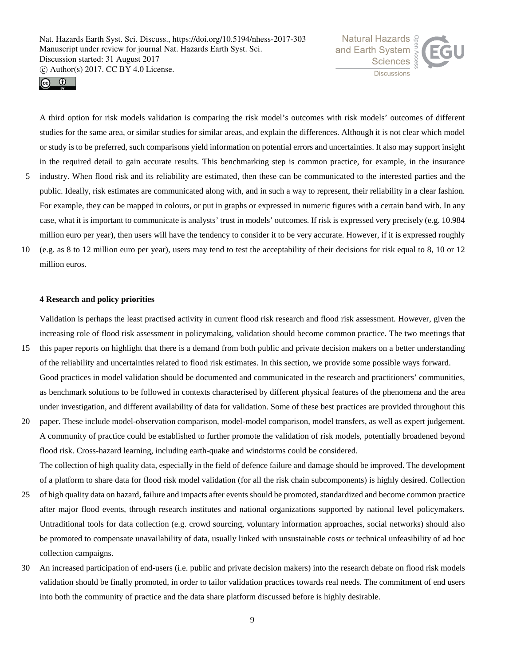



A third option for risk models validation is comparing the risk model's outcomes with risk models' outcomes of different studies for the same area, or similar studies for similar areas, and explain the differences. Although it is not clear which model or study is to be preferred, such comparisons yield information on potential errors and uncertainties. It also may support insight in the required detail to gain accurate results. This benchmarking step is common practice, for example, in the insurance

- 5 industry. When flood risk and its reliability are estimated, then these can be communicated to the interested parties and the public. Ideally, risk estimates are communicated along with, and in such a way to represent, their reliability in a clear fashion. For example, they can be mapped in colours, or put in graphs or expressed in numeric figures with a certain band with. In any case, what it is important to communicate is analysts' trust in models' outcomes. If risk is expressed very precisely (e.g. 10.984 million euro per year), then users will have the tendency to consider it to be very accurate. However, if it is expressed roughly
- 10 (e.g. as 8 to 12 million euro per year), users may tend to test the acceptability of their decisions for risk equal to 8, 10 or 12 million euros.

#### **4 Research and policy priorities**

Validation is perhaps the least practised activity in current flood risk research and flood risk assessment. However, given the increasing role of flood risk assessment in policymaking, validation should become common practice. The two meetings that

- 15 this paper reports on highlight that there is a demand from both public and private decision makers on a better understanding of the reliability and uncertainties related to flood risk estimates. In this section, we provide some possible ways forward. Good practices in model validation should be documented and communicated in the research and practitioners' communities, as benchmark solutions to be followed in contexts characterised by different physical features of the phenomena and the area under investigation, and different availability of data for validation. Some of these best practices are provided throughout this
- 20 paper. These include model-observation comparison, model-model comparison, model transfers, as well as expert judgement. A community of practice could be established to further promote the validation of risk models, potentially broadened beyond flood risk. Cross-hazard learning, including earth-quake and windstorms could be considered. The collection of high quality data, especially in the field of defence failure and damage should be improved. The development

of a platform to share data for flood risk model validation (for all the risk chain subcomponents) is highly desired. Collection

- 25 of high quality data on hazard, failure and impacts after events should be promoted, standardized and become common practice after major flood events, through research institutes and national organizations supported by national level policymakers. Untraditional tools for data collection (e.g. crowd sourcing, voluntary information approaches, social networks) should also be promoted to compensate unavailability of data, usually linked with unsustainable costs or technical unfeasibility of ad hoc collection campaigns.
- 30 An increased participation of end-users (i.e. public and private decision makers) into the research debate on flood risk models validation should be finally promoted, in order to tailor validation practices towards real needs. The commitment of end users into both the community of practice and the data share platform discussed before is highly desirable.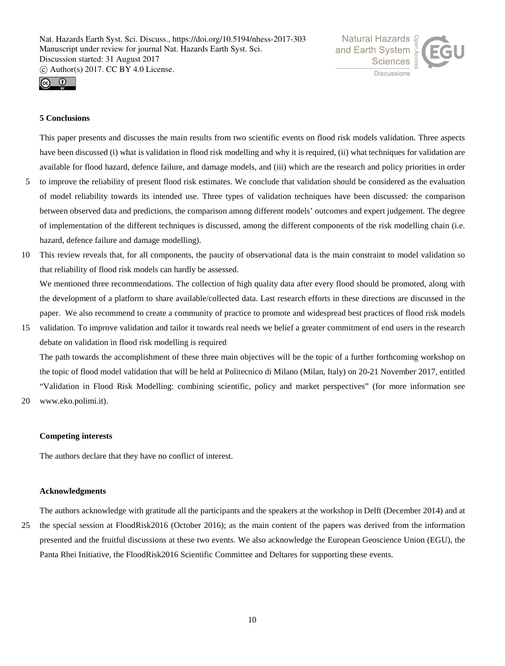



## **5 Conclusions**

This paper presents and discusses the main results from two scientific events on flood risk models validation. Three aspects have been discussed (i) what is validation in flood risk modelling and why it is required, (ii) what techniques for validation are available for flood hazard, defence failure, and damage models, and (iii) which are the research and policy priorities in order

- 5 to improve the reliability of present flood risk estimates. We conclude that validation should be considered as the evaluation of model reliability towards its intended use. Three types of validation techniques have been discussed: the comparison between observed data and predictions, the comparison among different models' outcomes and expert judgement. The degree of implementation of the different techniques is discussed, among the different components of the risk modelling chain (i.e. hazard, defence failure and damage modelling).
- 10 This review reveals that, for all components, the paucity of observational data is the main constraint to model validation so that reliability of flood risk models can hardly be assessed.

We mentioned three recommendations. The collection of high quality data after every flood should be promoted, along with the development of a platform to share available/collected data. Last research efforts in these directions are discussed in the paper. We also recommend to create a community of practice to promote and widespread best practices of flood risk models

15 validation. To improve validation and tailor it towards real needs we belief a greater commitment of end users in the research debate on validation in flood risk modelling is required

The path towards the accomplishment of these three main objectives will be the topic of a further forthcoming workshop on the topic of flood model validation that will be held at Politecnico di Milano (Milan, Italy) on 20-21 November 2017, entitled "Validation in Flood Risk Modelling: combining scientific, policy and market perspectives" (for more information see

20 www.eko.polimi.it).

#### **Competing interests**

The authors declare that they have no conflict of interest.

#### **Acknowledgments**

The authors acknowledge with gratitude all the participants and the speakers at the workshop in Delft (December 2014) and at 25 the special session at FloodRisk2016 (October 2016); as the main content of the papers was derived from the information presented and the fruitful discussions at these two events. We also acknowledge the European Geoscience Union (EGU), the Panta Rhei Initiative, the FloodRisk2016 Scientific Committee and Deltares for supporting these events.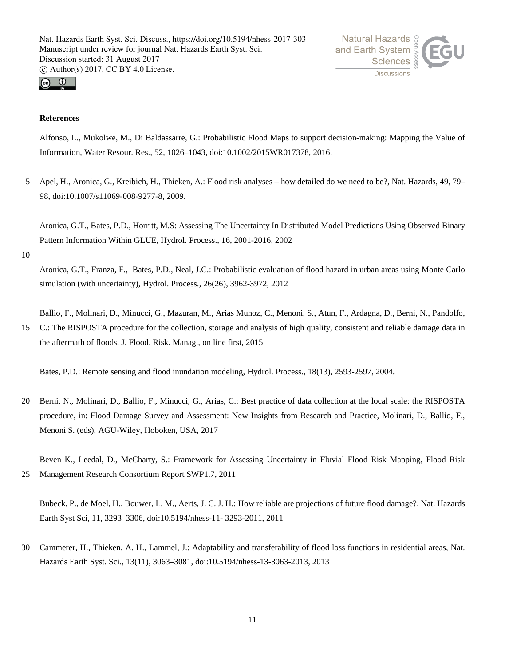



# **References**

Alfonso, L., Mukolwe, M., Di Baldassarre, G.: Probabilistic Flood Maps to support decision-making: Mapping the Value of Information, Water Resour. Res., 52, 1026–1043, doi:10.1002/2015WR017378, 2016.

5 Apel, H., Aronica, G., Kreibich, H., Thieken, A.: Flood risk analyses – how detailed do we need to be?, Nat. Hazards, 49, 79– 98, doi:10.1007/s11069-008-9277-8, 2009.

Aronica, G.T., Bates, P.D., Horritt, M.S: Assessing The Uncertainty In Distributed Model Predictions Using Observed Binary Pattern Information Within GLUE, Hydrol. Process., 16, 2001-2016, 2002

10

Aronica, G.T., Franza, F., Bates, P.D., Neal, J.C.: Probabilistic evaluation of flood hazard in urban areas using Monte Carlo simulation (with uncertainty), Hydrol. Process., 26(26), 3962-3972, 2012

Ballio, F., Molinari, D., Minucci, G., Mazuran, M., Arias Munoz, C., Menoni, S., Atun, F., Ardagna, D., Berni, N., Pandolfo,

15 C.: The RISPOSTA procedure for the collection, storage and analysis of high quality, consistent and reliable damage data in the aftermath of floods, J. Flood. Risk. Manag., on line first, 2015

Bates, P.D.: Remote sensing and flood inundation modeling, Hydrol. Process., 18(13), 2593-2597, 2004.

20 Berni, N., Molinari, D., Ballio, F., Minucci, G., Arias, C.: Best practice of data collection at the local scale: the RISPOSTA procedure, in: Flood Damage Survey and Assessment: New Insights from Research and Practice, Molinari, D., Ballio, F., Menoni S. (eds), AGU-Wiley, Hoboken, USA, 2017

Beven K., Leedal, D., McCharty, S.: Framework for Assessing Uncertainty in Fluvial Flood Risk Mapping, Flood Risk 25 Management Research Consortium Report SWP1.7, 2011

Bubeck, P., de Moel, H., Bouwer, L. M., Aerts, J. C. J. H.: How reliable are projections of future flood damage?, Nat. Hazards Earth Syst Sci, 11, 3293–3306, doi:10.5194/nhess-11- 3293-2011, 2011

30 Cammerer, H., Thieken, A. H., Lammel, J.: Adaptability and transferability of flood loss functions in residential areas, Nat. Hazards Earth Syst. Sci., 13(11), 3063–3081, doi:10.5194/nhess-13-3063-2013, 2013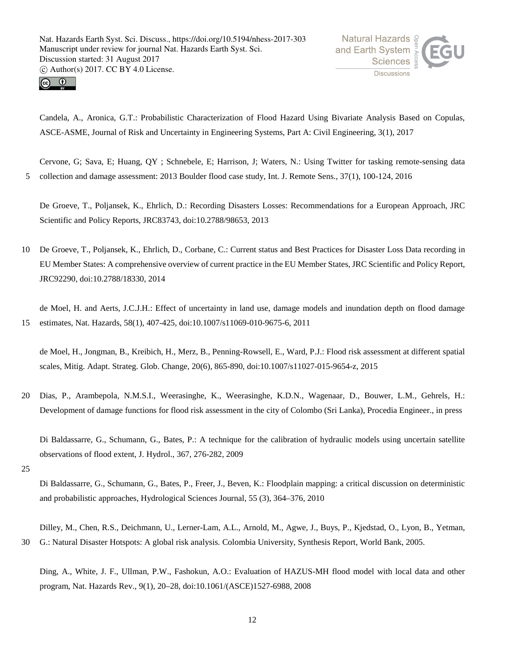



Candela, A., Aronica, G.T.: Probabilistic Characterization of Flood Hazard Using Bivariate Analysis Based on Copulas, ASCE-ASME, Journal of Risk and Uncertainty in Engineering Systems, Part A: Civil Engineering, 3(1), 2017

Cervone, G; Sava, E; Huang, QY ; Schnebele, E; Harrison, J; Waters, N.: Using Twitter for tasking remote-sensing data 5 collection and damage assessment: 2013 Boulder flood case study, Int. J. Remote Sens., 37(1), 100-124, 2016

De Groeve, T., Poljansek, K., Ehrlich, D.: Recording Disasters Losses: Recommendations for a European Approach, JRC Scientific and Policy Reports, JRC83743, doi:10.2788/98653, 2013

10 De Groeve, T., Poljansek, K., Ehrlich, D., Corbane, C.: Current status and Best Practices for Disaster Loss Data recording in EU Member States: A comprehensive overview of current practice in the EU Member States, JRC Scientific and Policy Report, JRC92290, doi:10.2788/18330, 2014

de Moel, H. and Aerts, J.C.J.H.: Effect of uncertainty in land use, damage models and inundation depth on flood damage 15 estimates, Nat. Hazards, 58(1), 407-425, doi:10.1007/s11069-010-9675-6, 2011

de Moel, H., Jongman, B., Kreibich, H., Merz, B., Penning-Rowsell, E., Ward, P.J.: Flood risk assessment at different spatial scales, Mitig. Adapt. Strateg. Glob. Change, 20(6), 865-890, doi:10.1007/s11027-015-9654-z, 2015

20 Dias, P., Arambepola, N.M.S.I., Weerasinghe, K., Weerasinghe, K.D.N., Wagenaar, D., Bouwer, L.M., Gehrels, H.: Development of damage functions for flood risk assessment in the city of Colombo (Sri Lanka), Procedia Engineer., in press

Di Baldassarre, G., Schumann, G., Bates, P.: A technique for the calibration of hydraulic models using uncertain satellite observations of flood extent, J. Hydrol., 367, 276-282, 2009

25

Di Baldassarre, G., Schumann, G., Bates, P., Freer, J., Beven, K.: Floodplain mapping: a critical discussion on deterministic and probabilistic approaches, Hydrological Sciences Journal, 55 (3), 364–376, 2010

Dilley, M., Chen, R.S., Deichmann, U., Lerner-Lam, A.L., Arnold, M., Agwe, J., Buys, P., Kjedstad, O., Lyon, B., Yetman, 30 G.: Natural Disaster Hotspots: A global risk analysis. Colombia University, Synthesis Report, World Bank, 2005.

Ding, A., White, J. F., Ullman, P.W., Fashokun, A.O.: Evaluation of HAZUS-MH flood model with local data and other program, Nat. Hazards Rev., 9(1), 20–28, doi:10.1061/(ASCE)1527-6988, 2008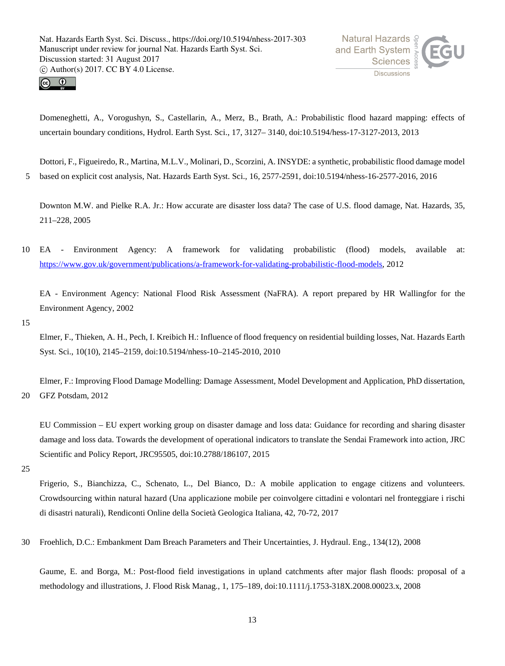



Domeneghetti, A., Vorogushyn, S., Castellarin, A., Merz, B., Brath, A.: Probabilistic flood hazard mapping: effects of uncertain boundary conditions, Hydrol. Earth Syst. Sci., 17, 3127– 3140, doi:10.5194/hess-17-3127-2013, 2013

Dottori, F., Figueiredo, R., Martina, M.L.V., Molinari, D., Scorzini, A. INSYDE: a synthetic, probabilistic flood damage model 5 based on explicit cost analysis, Nat. Hazards Earth Syst. Sci., 16, 2577-2591, doi:10.5194/nhess-16-2577-2016, 2016

Downton M.W. and Pielke R.A. Jr.: How accurate are disaster loss data? The case of U.S. flood damage, Nat. Hazards, 35, 211–228, 2005

10 EA - Environment Agency: A framework for validating probabilistic (flood) models, available at: https://www.gov.uk/government/publications/a-framework-for-validating-probabilistic-flood-models, 2012

EA - Environment Agency: National Flood Risk Assessment (NaFRA). A report prepared by HR Wallingfor for the Environment Agency, 2002

15

Elmer, F., Thieken, A. H., Pech, I. Kreibich H.: Influence of flood frequency on residential building losses, Nat. Hazards Earth Syst. Sci., 10(10), 2145–2159, doi:10.5194/nhess-10–2145-2010, 2010

Elmer, F.: Improving Flood Damage Modelling: Damage Assessment, Model Development and Application, PhD dissertation, 20 GFZ Potsdam, 2012

EU Commission – EU expert working group on disaster damage and loss data: Guidance for recording and sharing disaster damage and loss data. Towards the development of operational indicators to translate the Sendai Framework into action, JRC Scientific and Policy Report, JRC95505, doi:10.2788/186107, 2015

25

Frigerio, S., Bianchizza, C., Schenato, L., Del Bianco, D.: A mobile application to engage citizens and volunteers. Crowdsourcing within natural hazard (Una applicazione mobile per coinvolgere cittadini e volontari nel fronteggiare i rischi di disastri naturali), Rendiconti Online della Società Geologica Italiana, 42, 70-72, 2017

30 Froehlich, D.C.: Embankment Dam Breach Parameters and Their Uncertainties, J. Hydraul. Eng., 134(12), 2008

Gaume, E. and Borga, M.: Post-flood field investigations in upland catchments after major flash floods: proposal of a methodology and illustrations, J. Flood Risk Manag., 1, 175–189, doi:10.1111/j.1753-318X.2008.00023.x, 2008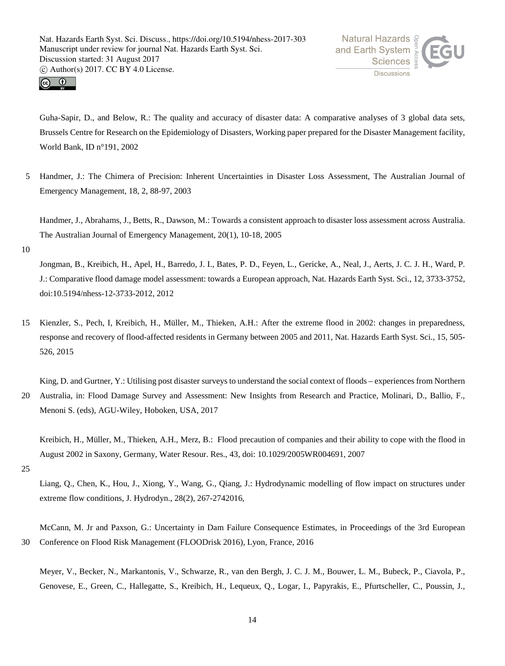



Guha-Sapir, D., and Below, R.: The quality and accuracy of disaster data: A comparative analyses of 3 global data sets, Brussels Centre for Research on the Epidemiology of Disasters, Working paper prepared for the Disaster Management facility, World Bank, ID n°191, 2002

5 Handmer, J.: The Chimera of Precision: Inherent Uncertainties in Disaster Loss Assessment, The Australian Journal of Emergency Management, 18, 2, 88-97, 2003

Handmer, J., Abrahams, J., Betts, R., Dawson, M.: Towards a consistent approach to disaster loss assessment across Australia. The Australian Journal of Emergency Management, 20(1), 10-18, 2005

10

Jongman, B., Kreibich, H., Apel, H., Barredo, J. I., Bates, P. D., Feyen, L., Gericke, A., Neal, J., Aerts, J. C. J. H., Ward, P. J.: Comparative flood damage model assessment: towards a European approach, Nat. Hazards Earth Syst. Sci., 12, 3733-3752, doi:10.5194/nhess-12-3733-2012, 2012

15 Kienzler, S., Pech, I, Kreibich, H., Müller, M., Thieken, A.H.: After the extreme flood in 2002: changes in preparedness, response and recovery of flood-affected residents in Germany between 2005 and 2011, Nat. Hazards Earth Syst. Sci., 15, 505- 526, 2015

King, D. and Gurtner, Y.: Utilising post disaster surveys to understand the social context of floods – experiences from Northern 20 Australia, in: Flood Damage Survey and Assessment: New Insights from Research and Practice, Molinari, D., Ballio, F., Menoni S. (eds), AGU-Wiley, Hoboken, USA, 2017

Kreibich, H., Müller, M., Thieken, A.H., Merz, B.: Flood precaution of companies and their ability to cope with the flood in August 2002 in Saxony, Germany, Water Resour. Res., 43, doi: 10.1029/2005WR004691, 2007

25

Liang, Q., Chen, K., Hou, J., Xiong, Y., Wang, G., Qiang, J.: Hydrodynamic modelling of flow impact on structures under extreme flow conditions, J. Hydrodyn., 28(2), 267-2742016,

McCann, M. Jr and Paxson, G.: Uncertainty in Dam Failure Consequence Estimates, in Proceedings of the 3rd European 30 Conference on Flood Risk Management (FLOODrisk 2016), Lyon, France, 2016

Meyer, V., Becker, N., Markantonis, V., Schwarze, R., van den Bergh, J. C. J. M., Bouwer, L. M., Bubeck, P., Ciavola, P., Genovese, E., Green, C., Hallegatte, S., Kreibich, H., Lequeux, Q., Logar, I., Papyrakis, E., Pfurtscheller, C., Poussin, J.,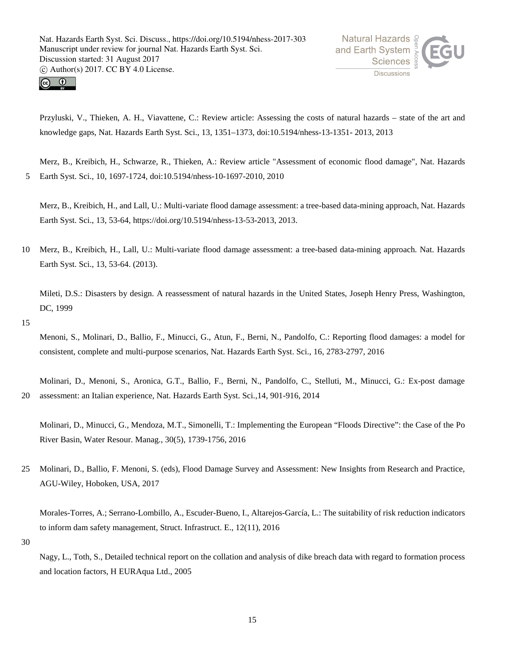



Przyluski, V., Thieken, A. H., Viavattene, C.: Review article: Assessing the costs of natural hazards – state of the art and knowledge gaps, Nat. Hazards Earth Syst. Sci., 13, 1351–1373, doi:10.5194/nhess-13-1351- 2013, 2013

Merz, B., Kreibich, H., Schwarze, R., Thieken, A.: Review article "Assessment of economic flood damage", Nat. Hazards 5 Earth Syst. Sci., 10, 1697-1724, doi:10.5194/nhess-10-1697-2010, 2010

Merz, B., Kreibich, H., and Lall, U.: Multi-variate flood damage assessment: a tree-based data-mining approach, Nat. Hazards Earth Syst. Sci., 13, 53-64, https://doi.org/10.5194/nhess-13-53-2013, 2013.

10 Merz, B., Kreibich, H., Lall, U.: Multi-variate flood damage assessment: a tree-based data-mining approach. Nat. Hazards Earth Syst. Sci., 13, 53-64. (2013).

Mileti, D.S.: Disasters by design. A reassessment of natural hazards in the United States, Joseph Henry Press, Washington, DC, 1999

15

Menoni, S., Molinari, D., Ballio, F., Minucci, G., Atun, F., Berni, N., Pandolfo, C.: Reporting flood damages: a model for consistent, complete and multi-purpose scenarios, Nat. Hazards Earth Syst. Sci., 16, 2783-2797, 2016

Molinari, D., Menoni, S., Aronica, G.T., Ballio, F., Berni, N., Pandolfo, C., Stelluti, M., Minucci, G.: Ex-post damage 20 assessment: an Italian experience, Nat. Hazards Earth Syst. Sci.,14, 901-916, 2014

Molinari, D., Minucci, G., Mendoza, M.T., Simonelli, T.: Implementing the European "Floods Directive": the Case of the Po River Basin, Water Resour. Manag., 30(5), 1739-1756, 2016

25 Molinari, D., Ballio, F. Menoni, S. (eds), Flood Damage Survey and Assessment: New Insights from Research and Practice, AGU-Wiley, Hoboken, USA, 2017

Morales-Torres, A.; Serrano-Lombillo, A., Escuder-Bueno, I., Altarejos-García, L.: The suitability of risk reduction indicators to inform dam safety management, Struct. Infrastruct. E., 12(11), 2016

30

Nagy, L., Toth, S., Detailed technical report on the collation and analysis of dike breach data with regard to formation process and location factors, H EURAqua Ltd., 2005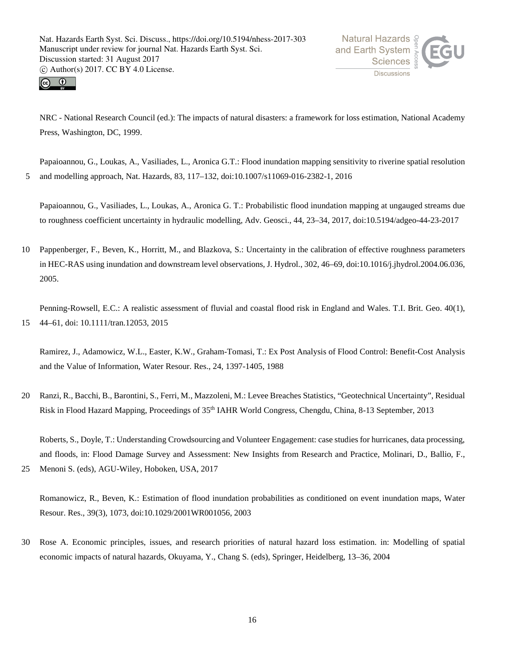



NRC - National Research Council (ed.): The impacts of natural disasters: a framework for loss estimation, National Academy Press, Washington, DC, 1999.

Papaioannou, G., Loukas, A., Vasiliades, L., Aronica G.T.: Flood inundation mapping sensitivity to riverine spatial resolution 5 and modelling approach, Nat. Hazards, 83, 117–132, doi:10.1007/s11069-016-2382-1, 2016

Papaioannou, G., Vasiliades, L., Loukas, A., Aronica G. T.: Probabilistic flood inundation mapping at ungauged streams due to roughness coefficient uncertainty in hydraulic modelling, Adv. Geosci., 44, 23–34, 2017, doi:10.5194/adgeo-44-23-2017

10 Pappenberger, F., Beven, K., Horritt, M., and Blazkova, S.: Uncertainty in the calibration of effective roughness parameters in HEC-RAS using inundation and downstream level observations, J. Hydrol., 302, 46–69, doi:10.1016/j.jhydrol.2004.06.036, 2005.

Penning-Rowsell, E.C.: A realistic assessment of fluvial and coastal flood risk in England and Wales. T.I. Brit. Geo. 40(1), 15 44–61, doi: 10.1111/tran.12053, 2015

Ramirez, J., Adamowicz, W.L., Easter, K.W., Graham-Tomasi, T.: Ex Post Analysis of Flood Control: Benefit-Cost Analysis and the Value of Information, Water Resour. Res., 24, 1397-1405, 1988

20 Ranzi, R., Bacchi, B., Barontini, S., Ferri, M., Mazzoleni, M.: Levee Breaches Statistics, "Geotechnical Uncertainty", Residual Risk in Flood Hazard Mapping, Proceedings of 35th IAHR World Congress, Chengdu, China, 8-13 September, 2013

Roberts, S., Doyle, T.: Understanding Crowdsourcing and Volunteer Engagement: case studies for hurricanes, data processing, and floods, in: Flood Damage Survey and Assessment: New Insights from Research and Practice, Molinari, D., Ballio, F.,

25 Menoni S. (eds), AGU-Wiley, Hoboken, USA, 2017

Romanowicz, R., Beven, K.: Estimation of flood inundation probabilities as conditioned on event inundation maps, Water Resour. Res., 39(3), 1073, doi:10.1029/2001WR001056, 2003

30 Rose A. Economic principles, issues, and research priorities of natural hazard loss estimation. in: Modelling of spatial economic impacts of natural hazards, Okuyama, Y., Chang S. (eds), Springer, Heidelberg, 13–36, 2004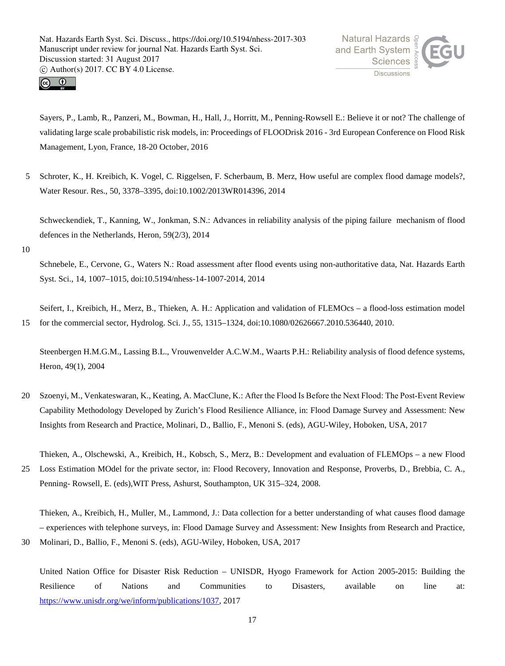



Sayers, P., Lamb, R., Panzeri, M., Bowman, H., Hall, J., Horritt, M., Penning-Rowsell E.: Believe it or not? The challenge of validating large scale probabilistic risk models, in: Proceedings of FLOODrisk 2016 - 3rd European Conference on Flood Risk Management, Lyon, France, 18-20 October, 2016

5 Schroter, K., H. Kreibich, K. Vogel, C. Riggelsen, F. Scherbaum, B. Merz, How useful are complex flood damage models?, Water Resour. Res., 50, 3378–3395, doi:10.1002/2013WR014396, 2014

Schweckendiek, T., Kanning, W., Jonkman, S.N.: Advances in reliability analysis of the piping failure mechanism of flood defences in the Netherlands, Heron, 59(2/3), 2014

10

Schnebele, E., Cervone, G., Waters N.: Road assessment after flood events using non-authoritative data, Nat. Hazards Earth Syst. Sci., 14, 1007–1015, doi:10.5194/nhess-14-1007-2014, 2014

Seifert, I., Kreibich, H., Merz, B., Thieken, A. H.: Application and validation of FLEMOcs – a flood-loss estimation model 15 for the commercial sector, Hydrolog. Sci. J., 55, 1315–1324, doi:10.1080/02626667.2010.536440, 2010.

Steenbergen H.M.G.M., Lassing B.L., Vrouwenvelder A.C.W.M., Waarts P.H.: Reliability analysis of flood defence systems, Heron, 49(1), 2004

20 Szoenyi, M., Venkateswaran, K., Keating, A. MacClune, K.: After the Flood Is Before the Next Flood: The Post-Event Review Capability Methodology Developed by Zurich's Flood Resilience Alliance, in: Flood Damage Survey and Assessment: New Insights from Research and Practice, Molinari, D., Ballio, F., Menoni S. (eds), AGU-Wiley, Hoboken, USA, 2017

Thieken, A., Olschewski, A., Kreibich, H., Kobsch, S., Merz, B.: Development and evaluation of FLEMOps – a new Flood 25 Loss Estimation MOdel for the private sector, in: Flood Recovery, Innovation and Response, Proverbs, D., Brebbia, C. A., Penning- Rowsell, E. (eds),WIT Press, Ashurst, Southampton, UK 315–324, 2008.

Thieken, A., Kreibich, H., Muller, M., Lammond, J.: Data collection for a better understanding of what causes flood damage – experiences with telephone surveys, in: Flood Damage Survey and Assessment: New Insights from Research and Practice, 30 Molinari, D., Ballio, F., Menoni S. (eds), AGU-Wiley, Hoboken, USA, 2017

United Nation Office for Disaster Risk Reduction – UNISDR, Hyogo Framework for Action 2005-2015: Building the Resilience of Nations and Communities to Disasters, available on line at: https://www.unisdr.org/we/inform/publications/1037, 2017